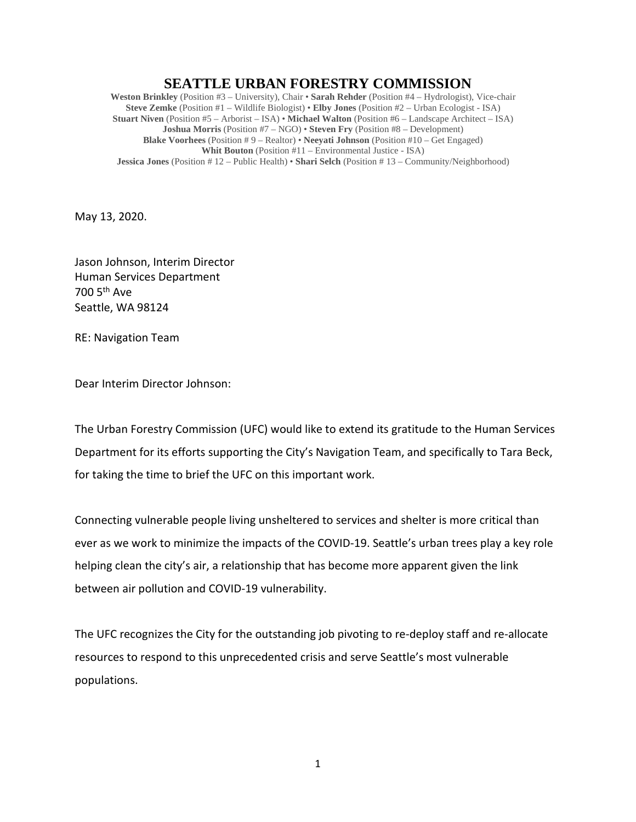## **SEATTLE URBAN FORESTRY COMMISSION**

**Weston Brinkley** (Position #3 – University), Chair • **Sarah Rehder** (Position #4 – Hydrologist), Vice-chair **Steve Zemke** (Position #1 – Wildlife Biologist) • **Elby Jones** (Position #2 – Urban Ecologist - ISA) **Stuart Niven** (Position #5 – Arborist – ISA) • **Michael Walton** (Position #6 – Landscape Architect – ISA) **Joshua Morris** (Position #7 – NGO) • **Steven Fry** (Position #8 – Development) **Blake Voorhees** (Position # 9 – Realtor) • **Neeyati Johnson** (Position #10 – Get Engaged) **Whit Bouton** (Position #11 – Environmental Justice - ISA) **Jessica Jones** (Position # 12 – Public Health) • **Shari Selch** (Position # 13 – Community/Neighborhood)

May 13, 2020.

Jason Johnson, Interim Director Human Services Department 700 5th Ave Seattle, WA 98124

RE: Navigation Team

Dear Interim Director Johnson:

The Urban Forestry Commission (UFC) would like to extend its gratitude to the Human Services Department for its efforts supporting the City's Navigation Team, and specifically to Tara Beck, for taking the time to brief the UFC on this important work.

Connecting vulnerable people living unsheltered to services and shelter is more critical than ever as we work to minimize the impacts of the COVID-19. Seattle's urban trees play a key role helping clean the city's air, a relationship that has become more apparent given the link between air pollution and COVID-19 vulnerability.

The UFC recognizes the City for the outstanding job pivoting to re-deploy staff and re-allocate resources to respond to this unprecedented crisis and serve Seattle's most vulnerable populations.